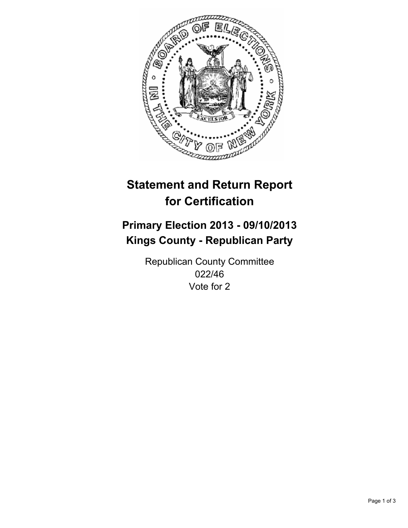

# **Statement and Return Report for Certification**

## **Primary Election 2013 - 09/10/2013 Kings County - Republican Party**

Republican County Committee 022/46 Vote for 2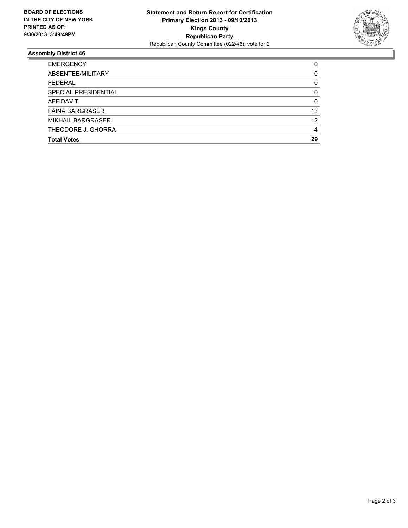

### **Assembly District 46**

| <b>EMERGENCY</b>         | 0  |
|--------------------------|----|
| ABSENTEE/MILITARY        | 0  |
| <b>FEDERAL</b>           | 0  |
| SPECIAL PRESIDENTIAL     | 0  |
| AFFIDAVIT                | 0  |
| <b>FAINA BARGRASER</b>   | 13 |
| <b>MIKHAIL BARGRASER</b> | 12 |
| THEODORE J. GHORRA       | 4  |
| <b>Total Votes</b>       | 29 |